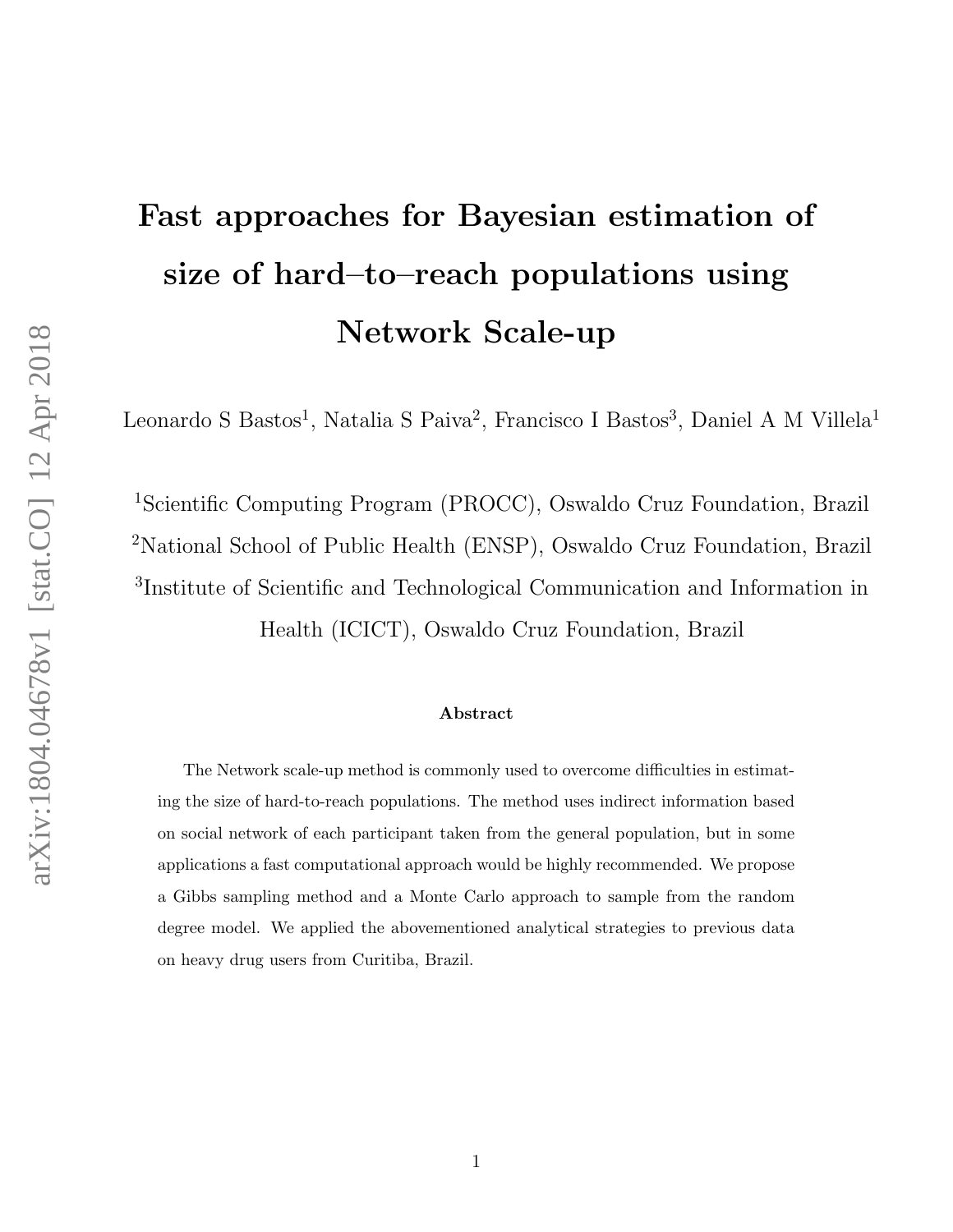# Fast approaches for Bayesian estimation of size of hard–to–reach populations using Network Scale-up

Leonardo S Bastos<sup>1</sup>, Natalia S Paiva<sup>2</sup>, Francisco I Bastos<sup>3</sup>, Daniel A M Villela<sup>1</sup>

Scientific Computing Program (PROCC), Oswaldo Cruz Foundation, Brazil National School of Public Health (ENSP), Oswaldo Cruz Foundation, Brazil Institute of Scientific and Technological Communication and Information in Health (ICICT), Oswaldo Cruz Foundation, Brazil

#### Abstract

The Network scale-up method is commonly used to overcome difficulties in estimating the size of hard-to-reach populations. The method uses indirect information based on social network of each participant taken from the general population, but in some applications a fast computational approach would be highly recommended. We propose a Gibbs sampling method and a Monte Carlo approach to sample from the random degree model. We applied the abovementioned analytical strategies to previous data on heavy drug users from Curitiba, Brazil.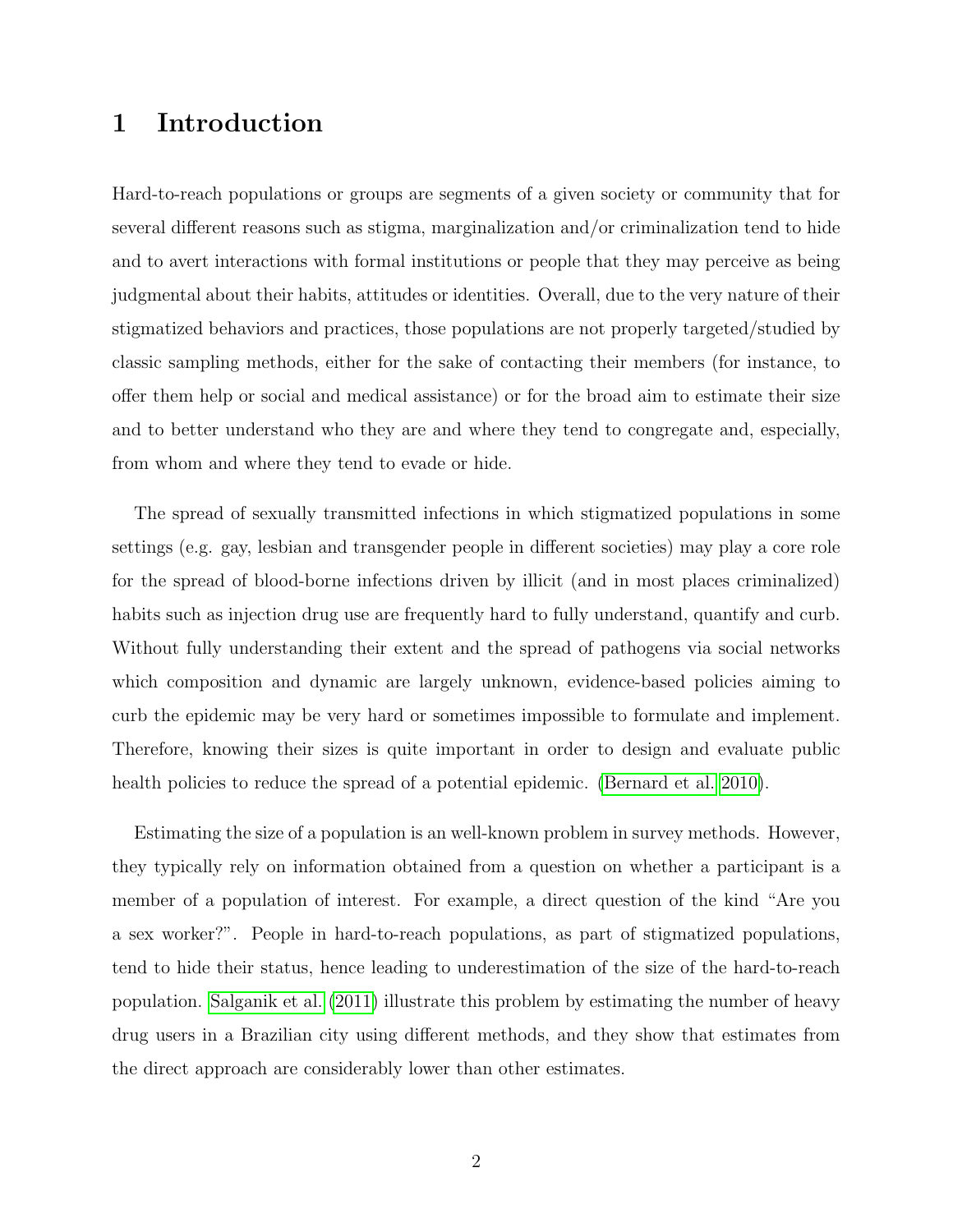# 1 Introduction

Hard-to-reach populations or groups are segments of a given society or community that for several different reasons such as stigma, marginalization and/or criminalization tend to hide and to avert interactions with formal institutions or people that they may perceive as being judgmental about their habits, attitudes or identities. Overall, due to the very nature of their stigmatized behaviors and practices, those populations are not properly targeted/studied by classic sampling methods, either for the sake of contacting their members (for instance, to offer them help or social and medical assistance) or for the broad aim to estimate their size and to better understand who they are and where they tend to congregate and, especially, from whom and where they tend to evade or hide.

The spread of sexually transmitted infections in which stigmatized populations in some settings (e.g. gay, lesbian and transgender people in different societies) may play a core role for the spread of blood-borne infections driven by illicit (and in most places criminalized) habits such as injection drug use are frequently hard to fully understand, quantify and curb. Without fully understanding their extent and the spread of pathogens via social networks which composition and dynamic are largely unknown, evidence-based policies aiming to curb the epidemic may be very hard or sometimes impossible to formulate and implement. Therefore, knowing their sizes is quite important in order to design and evaluate public health policies to reduce the spread of a potential epidemic. [\(Bernard et al. 2010\)](#page-10-0).

Estimating the size of a population is an well-known problem in survey methods. However, they typically rely on information obtained from a question on whether a participant is a member of a population of interest. For example, a direct question of the kind "Are you a sex worker?". People in hard-to-reach populations, as part of stigmatized populations, tend to hide their status, hence leading to underestimation of the size of the hard-to-reach population. [Salganik et al.](#page-12-0) [\(2011\)](#page-12-0) illustrate this problem by estimating the number of heavy drug users in a Brazilian city using different methods, and they show that estimates from the direct approach are considerably lower than other estimates.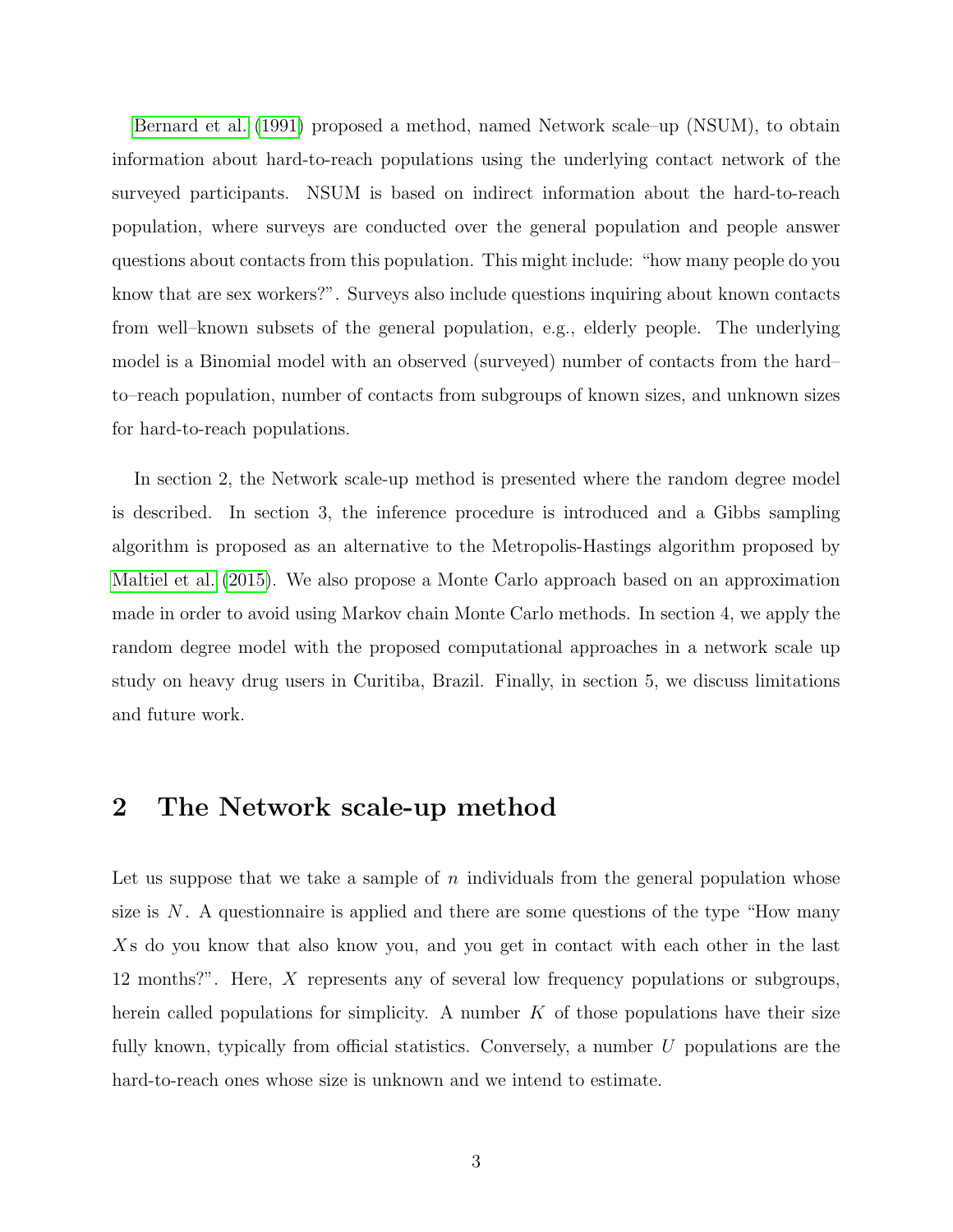[Bernard et al.](#page-11-0) [\(1991\)](#page-11-0) proposed a method, named Network scale–up (NSUM), to obtain information about hard-to-reach populations using the underlying contact network of the surveyed participants. NSUM is based on indirect information about the hard-to-reach population, where surveys are conducted over the general population and people answer questions about contacts from this population. This might include: "how many people do you know that are sex workers?". Surveys also include questions inquiring about known contacts from well–known subsets of the general population, e.g., elderly people. The underlying model is a Binomial model with an observed (surveyed) number of contacts from the hard– to–reach population, number of contacts from subgroups of known sizes, and unknown sizes for hard-to-reach populations.

In section 2, the Network scale-up method is presented where the random degree model is described. In section 3, the inference procedure is introduced and a Gibbs sampling algorithm is proposed as an alternative to the Metropolis-Hastings algorithm proposed by [Maltiel et al.](#page-11-1) [\(2015\)](#page-11-1). We also propose a Monte Carlo approach based on an approximation made in order to avoid using Markov chain Monte Carlo methods. In section 4, we apply the random degree model with the proposed computational approaches in a network scale up study on heavy drug users in Curitiba, Brazil. Finally, in section 5, we discuss limitations and future work.

## 2 The Network scale-up method

Let us suppose that we take a sample of n individuals from the general population whose size is  $N$ . A questionnaire is applied and there are some questions of the type "How many X s do you know that also know you, and you get in contact with each other in the last 12 months?". Here, X represents any of several low frequency populations or subgroups, herein called populations for simplicity. A number  $K$  of those populations have their size fully known, typically from official statistics. Conversely, a number U populations are the hard-to-reach ones whose size is unknown and we intend to estimate.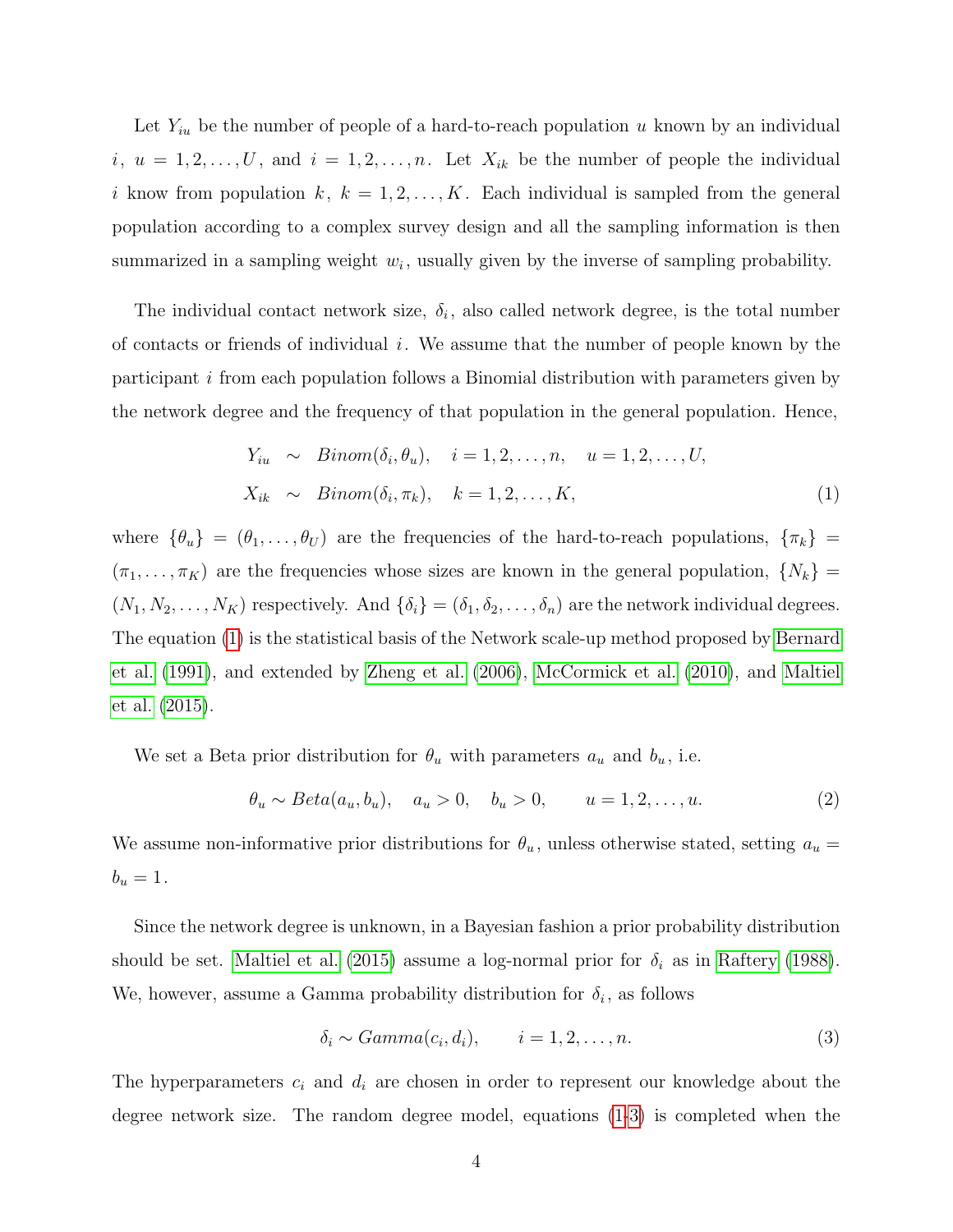Let  $Y_{iu}$  be the number of people of a hard-to-reach population u known by an individual  $i, u = 1, 2, \ldots, U$ , and  $i = 1, 2, \ldots, n$ . Let  $X_{ik}$  be the number of people the individual i know from population  $k, k = 1, 2, ..., K$ . Each individual is sampled from the general population according to a complex survey design and all the sampling information is then summarized in a sampling weight  $w_i$ , usually given by the inverse of sampling probability.

The individual contact network size,  $\delta_i$ , also called network degree, is the total number of contacts or friends of individual  $i$ . We assume that the number of people known by the participant i from each population follows a Binomial distribution with parameters given by the network degree and the frequency of that population in the general population. Hence,

<span id="page-3-0"></span>
$$
Y_{iu} \sim Binom(\delta_i, \theta_u), \quad i = 1, 2, \dots, n, \quad u = 1, 2, \dots, U,
$$
  

$$
X_{ik} \sim Binom(\delta_i, \pi_k), \quad k = 1, 2, \dots, K,
$$
 (1)

where  $\{\theta_u\} = (\theta_1, \ldots, \theta_U)$  are the frequencies of the hard-to-reach populations,  $\{\pi_k\}$  =  $(\pi_1, \ldots, \pi_K)$  are the frequencies whose sizes are known in the general population,  $\{N_k\}$  =  $(N_1, N_2, \ldots, N_K)$  respectively. And  $\{\delta_i\} = (\delta_1, \delta_2, \ldots, \delta_n)$  are the network individual degrees. The equation [\(1\)](#page-3-0) is the statistical basis of the Network scale-up method proposed by [Bernard](#page-11-0) [et al.](#page-11-0) [\(1991\)](#page-11-0), and extended by [Zheng et al.](#page-12-1) [\(2006\)](#page-12-1), [McCormick et al.](#page-11-2) [\(2010\)](#page-11-2), and [Maltiel](#page-11-1) [et al.](#page-11-1) [\(2015\)](#page-11-1).

We set a Beta prior distribution for  $\theta_u$  with parameters  $a_u$  and  $b_u$ , i.e.

<span id="page-3-2"></span>
$$
\theta_u \sim Beta(a_u, b_u), \quad a_u > 0, \quad b_u > 0, \quad u = 1, 2, ..., u.
$$
\n(2)

We assume non-informative prior distributions for  $\theta_u$ , unless otherwise stated, setting  $a_u =$  $b_u = 1$ .

Since the network degree is unknown, in a Bayesian fashion a prior probability distribution should be set. [Maltiel et al.](#page-11-1) [\(2015\)](#page-11-1) assume a log-normal prior for  $\delta_i$  as in [Raftery](#page-12-2) [\(1988\)](#page-12-2). We, however, assume a Gamma probability distribution for  $\delta_i$ , as follows

<span id="page-3-1"></span>
$$
\delta_i \sim Gamma(c_i, d_i), \qquad i = 1, 2, \dots, n. \tag{3}
$$

The hyperparameters  $c_i$  and  $d_i$  are chosen in order to represent our knowledge about the degree network size. The random degree model, equations [\(1-](#page-3-0)[3\)](#page-3-1) is completed when the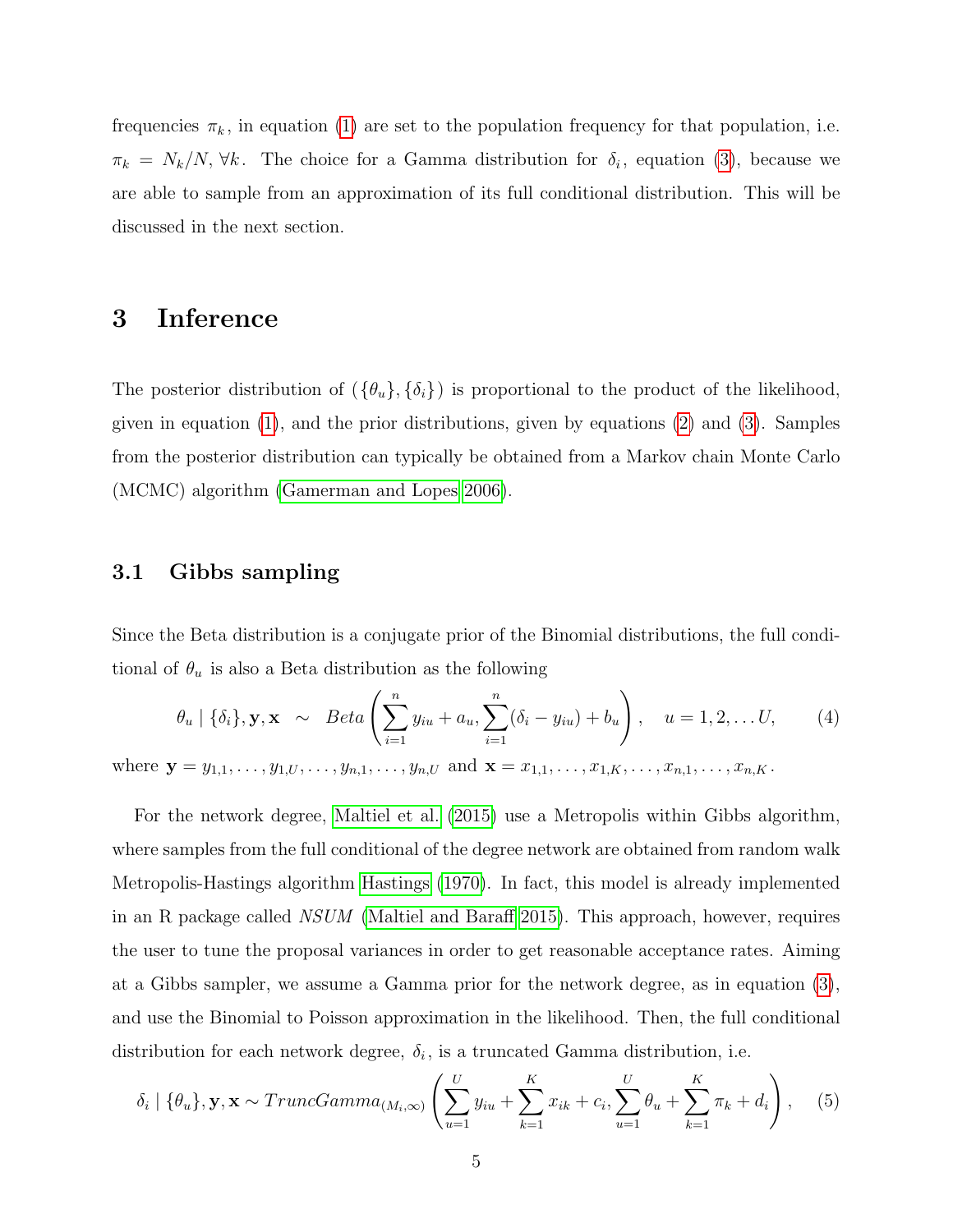frequencies  $\pi_k$ , in equation [\(1\)](#page-3-0) are set to the population frequency for that population, i.e.  $\pi_k = N_k/N$ ,  $\forall k$ . The choice for a Gamma distribution for  $\delta_i$ , equation [\(3\)](#page-3-1), because we are able to sample from an approximation of its full conditional distribution. This will be discussed in the next section.

## 3 Inference

The posterior distribution of  $(\{\theta_u\}, {\{\delta_i\}})$  is proportional to the product of the likelihood, given in equation [\(1\)](#page-3-0), and the prior distributions, given by equations [\(2\)](#page-3-2) and [\(3\)](#page-3-1). Samples from the posterior distribution can typically be obtained from a Markov chain Monte Carlo (MCMC) algorithm [\(Gamerman and Lopes 2006\)](#page-11-3).

#### 3.1 Gibbs sampling

Since the Beta distribution is a conjugate prior of the Binomial distributions, the full conditional of  $\theta_u$  is also a Beta distribution as the following

<span id="page-4-0"></span>
$$
\theta_u \mid \{\delta_i\}, \mathbf{y}, \mathbf{x} \sim Beta\left(\sum_{i=1}^n y_{iu} + a_u, \sum_{i=1}^n (\delta_i - y_{iu}) + b_u\right), \quad u = 1, 2, \dots U,
$$
 (4)

where  $\mathbf{y} = y_{1,1}, \ldots, y_{1,U}, \ldots, y_{n,1}, \ldots, y_{n,U}$  and  $\mathbf{x} = x_{1,1}, \ldots, x_{1,K}, \ldots, x_{n,1}, \ldots, x_{n,K}$ .

For the network degree, [Maltiel et al.](#page-11-1) [\(2015\)](#page-11-1) use a Metropolis within Gibbs algorithm, where samples from the full conditional of the degree network are obtained from random walk Metropolis-Hastings algorithm [Hastings](#page-11-4) [\(1970\)](#page-11-4). In fact, this model is already implemented in an R package called NSUM [\(Maltiel and Baraff 2015\)](#page-11-5). This approach, however, requires the user to tune the proposal variances in order to get reasonable acceptance rates. Aiming at a Gibbs sampler, we assume a Gamma prior for the network degree, as in equation [\(3\)](#page-3-1), and use the Binomial to Poisson approximation in the likelihood. Then, the full conditional distribution for each network degree,  $\delta_i$ , is a truncated Gamma distribution, i.e.

<span id="page-4-1"></span>
$$
\delta_i \mid \{\theta_u\}, \mathbf{y}, \mathbf{x} \sim TruncGamma_{(M_i, \infty)} \left( \sum_{u=1}^U y_{iu} + \sum_{k=1}^K x_{ik} + c_i, \sum_{u=1}^U \theta_u + \sum_{k=1}^K \pi_k + d_i \right), \quad (5)
$$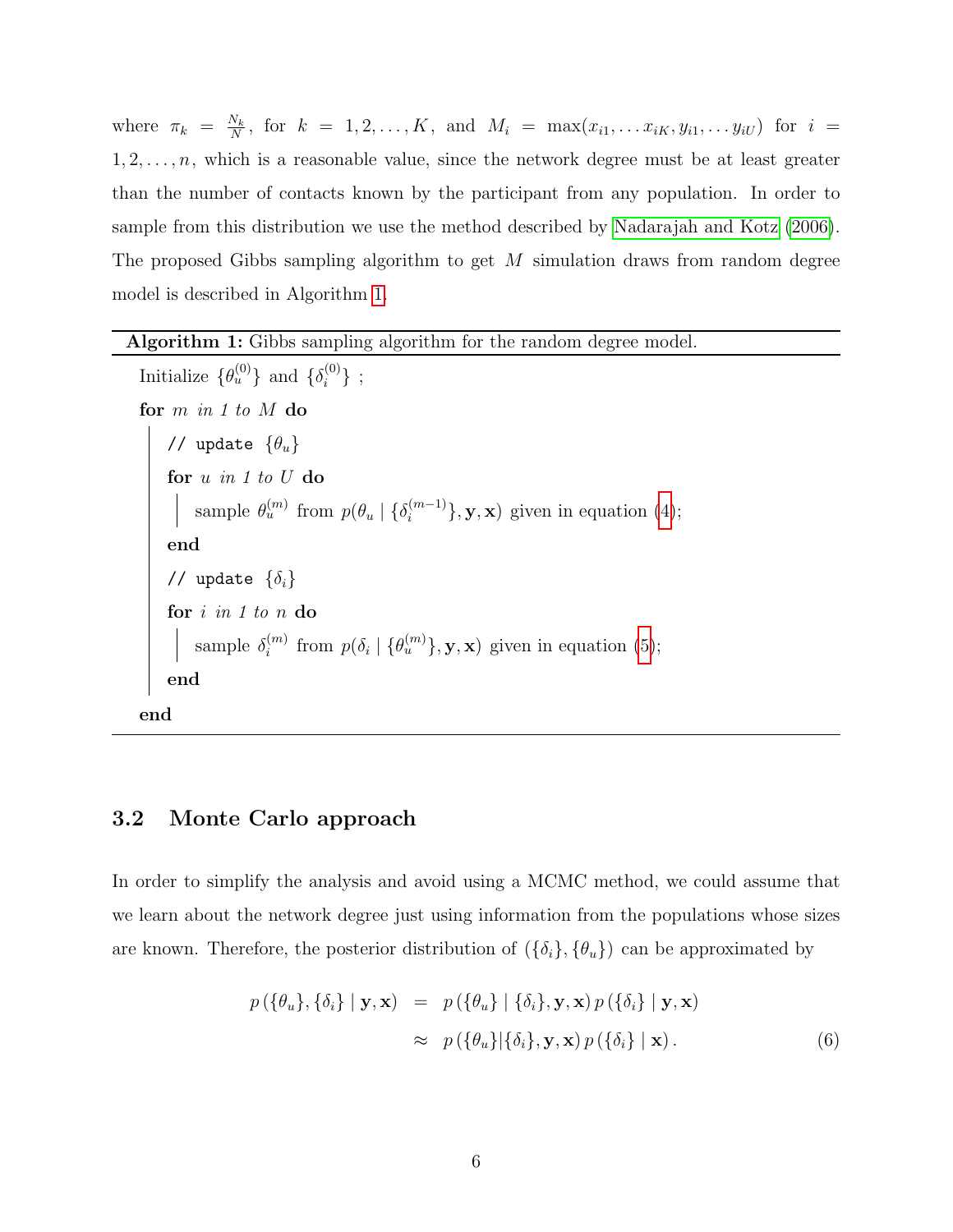where  $\pi_k = \frac{N_k}{N}$  $\frac{N_k}{N}$ , for  $k = 1, 2, ..., K$ , and  $M_i = \max(x_{i1}, ..., x_{iK}, y_{i1}, ..., y_{iU})$  for  $i =$  $1, 2, \ldots, n$ , which is a reasonable value, since the network degree must be at least greater than the number of contacts known by the participant from any population. In order to sample from this distribution we use the method described by [Nadarajah and Kotz](#page-12-3) [\(2006\)](#page-12-3). The proposed Gibbs sampling algorithm to get M simulation draws from random degree model is described in Algorithm [1.](#page-5-0)

#### Algorithm 1: Gibbs sampling algorithm for the random degree model.

Initialize  $\{\theta_u^{(0)}\}$  and  $\{\delta_i^{(0)}\}$  $\{^{(0)}_i\}$ ; for  $m$  in  $1$  to  $M$  do // update  $\{\theta_u\}$ for  $u$  in  $1$  to  $U$  do sample  $\theta_u^{(m)}$  from  $p(\theta_u \mid {\{\delta_i^{(m-1)}\}})$  $\{e^{(m-1)}\}, \mathbf{y}, \mathbf{x})$  given in equation [\(4\)](#page-4-0); end // update  $\{\delta_i\}$ for *i* in 1 to n do sample  $\delta_i^{(m)}$  $i^{(m)}$  from  $p(\delta_i \mid {\theta_u^{(m)}}\}, \mathbf{y}, \mathbf{x})$  given in equation [\(5\)](#page-4-1); end end

#### <span id="page-5-0"></span>3.2 Monte Carlo approach

In order to simplify the analysis and avoid using a MCMC method, we could assume that we learn about the network degree just using information from the populations whose sizes are known. Therefore, the posterior distribution of  $(\{\delta_i\}, {\{\theta_u\}})$  can be approximated by

<span id="page-5-1"></span>
$$
p(\{\theta_u\}, \{\delta_i\} \mid \mathbf{y}, \mathbf{x}) = p(\{\theta_u\} \mid \{\delta_i\}, \mathbf{y}, \mathbf{x}) p(\{\delta_i\} \mid \mathbf{y}, \mathbf{x})
$$

$$
\approx p(\{\theta_u\} \mid \{\delta_i\}, \mathbf{y}, \mathbf{x}) p(\{\delta_i\} \mid \mathbf{x}). \tag{6}
$$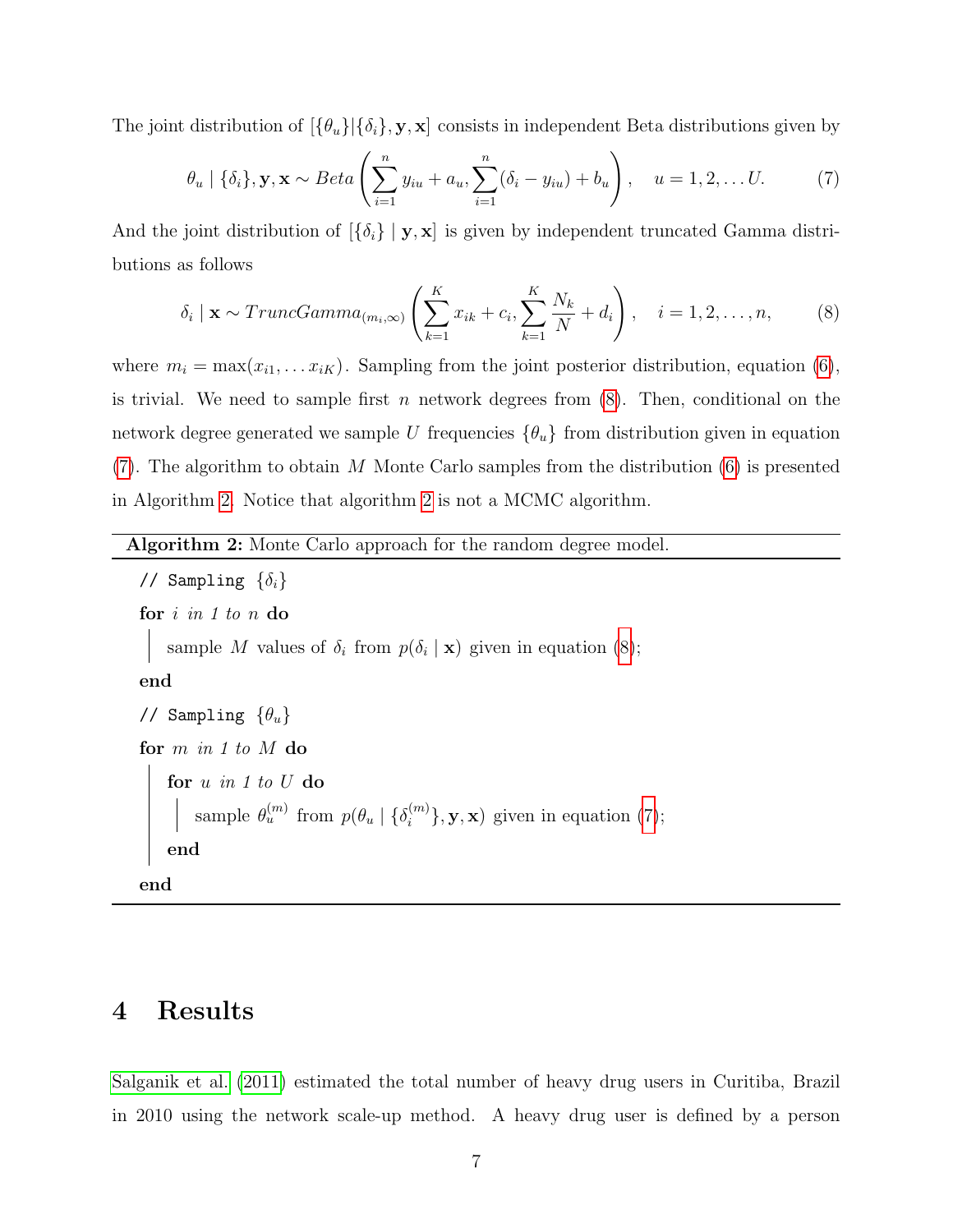The joint distribution of  $[\{\theta_u\}|\{\delta_i\}, \mathbf{y}, \mathbf{x}]$  consists in independent Beta distributions given by

<span id="page-6-1"></span>
$$
\theta_u \mid \{\delta_i\}, \mathbf{y}, \mathbf{x} \sim Beta\left(\sum_{i=1}^n y_{iu} + a_u, \sum_{i=1}^n (\delta_i - y_{iu}) + b_u\right), \quad u = 1, 2, \dots U. \tag{7}
$$

And the joint distribution of  $\{\delta_i\} \mid \mathbf{y}, \mathbf{x}$  is given by independent truncated Gamma distributions as follows

<span id="page-6-0"></span>
$$
\delta_i \mid \mathbf{x} \sim TruncGamma_{m; \infty)} \left( \sum_{k=1}^K x_{ik} + c_i, \sum_{k=1}^K \frac{N_k}{N} + d_i \right), \quad i = 1, 2, \dots, n,
$$
 (8)

where  $m_i = \max(x_{i1}, \ldots, x_{iK})$ . Sampling from the joint posterior distribution, equation [\(6\)](#page-5-1), is trivial. We need to sample first n network degrees from  $(8)$ . Then, conditional on the network degree generated we sample U frequencies  $\{\theta_u\}$  from distribution given in equation [\(7\)](#page-6-1). The algorithm to obtain M Monte Carlo samples from the distribution [\(6\)](#page-5-1) is presented in Algorithm [2.](#page-6-2) Notice that algorithm [2](#page-6-2) is not a MCMC algorithm.

Algorithm 2: Monte Carlo approach for the random degree model.

```
// Sampling \{\delta_i\}for i in 1 to n do
    sample M values of \delta_i from p(\delta_i | \mathbf{x})(8);
end
// Sampling \{\theta_u\}for m in 1 to M do
    for u in 1 to U do
        sample \theta_u^{(m)} from p(\theta_u \mid {\{\delta_i^{(m)}\}})\{e^{(m)}\}, \mathbf{y}, \mathbf{x})(7);
    end
end
```
### <span id="page-6-2"></span>4 Results

[Salganik et al.](#page-12-0) [\(2011\)](#page-12-0) estimated the total number of heavy drug users in Curitiba, Brazil in 2010 using the network scale-up method. A heavy drug user is defined by a person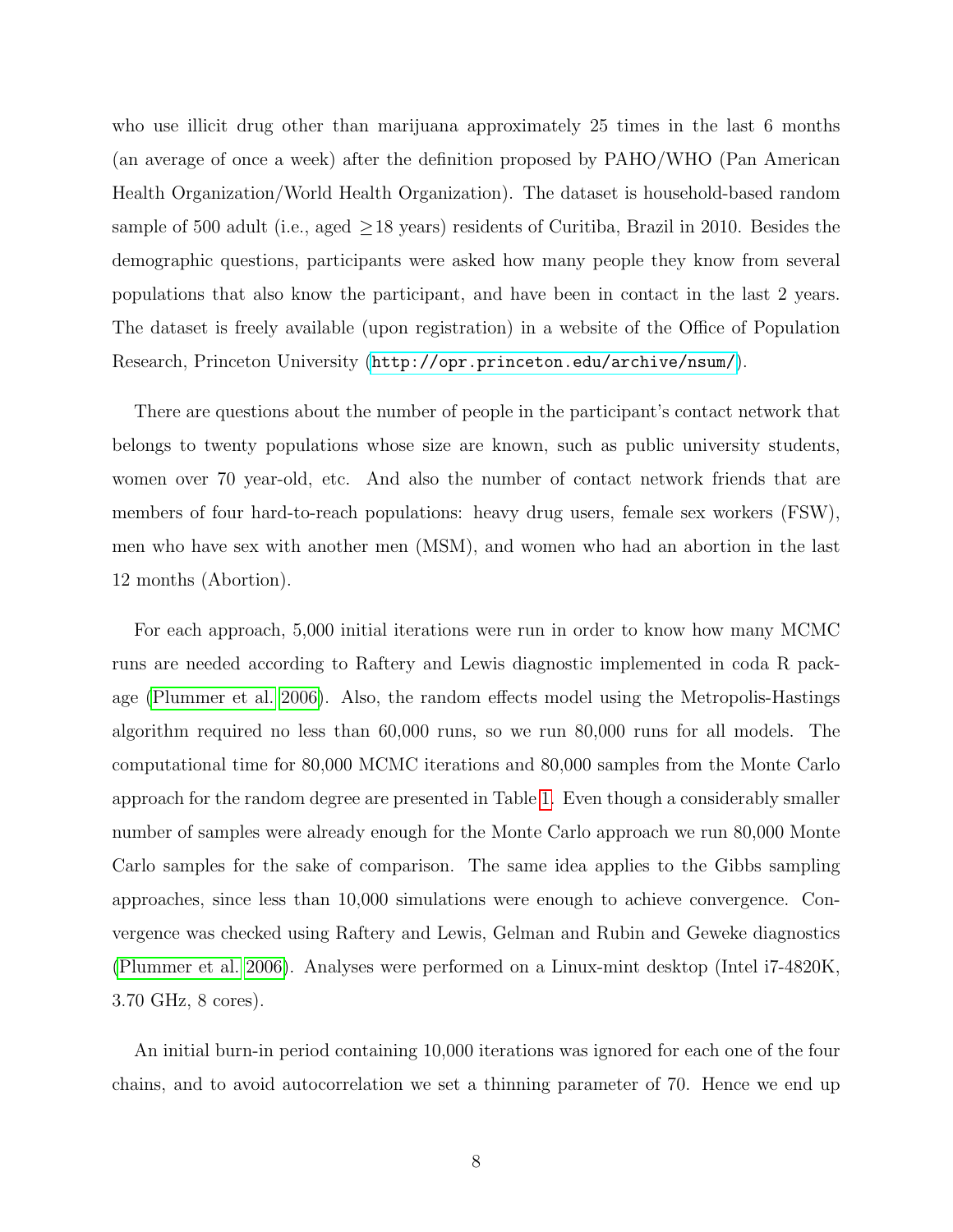who use illicit drug other than marijuana approximately 25 times in the last 6 months (an average of once a week) after the definition proposed by PAHO/WHO (Pan American Health Organization/World Health Organization). The dataset is household-based random sample of 500 adult (i.e., aged  $\geq$  18 years) residents of Curitiba, Brazil in 2010. Besides the demographic questions, participants were asked how many people they know from several populations that also know the participant, and have been in contact in the last 2 years. The dataset is freely available (upon registration) in a website of the Office of Population Research, Princeton University (<http://opr.princeton.edu/archive/nsum/>).

There are questions about the number of people in the participant's contact network that belongs to twenty populations whose size are known, such as public university students, women over 70 year-old, etc. And also the number of contact network friends that are members of four hard-to-reach populations: heavy drug users, female sex workers (FSW), men who have sex with another men (MSM), and women who had an abortion in the last 12 months (Abortion).

For each approach, 5,000 initial iterations were run in order to know how many MCMC runs are needed according to Raftery and Lewis diagnostic implemented in coda R package [\(Plummer et al. 2006\)](#page-12-4). Also, the random effects model using the Metropolis-Hastings algorithm required no less than 60,000 runs, so we run 80,000 runs for all models. The computational time for 80,000 MCMC iterations and 80,000 samples from the Monte Carlo approach for the random degree are presented in Table [1.](#page-8-0) Even though a considerably smaller number of samples were already enough for the Monte Carlo approach we run 80,000 Monte Carlo samples for the sake of comparison. The same idea applies to the Gibbs sampling approaches, since less than 10,000 simulations were enough to achieve convergence. Convergence was checked using Raftery and Lewis, Gelman and Rubin and Geweke diagnostics [\(Plummer et al. 2006\)](#page-12-4). Analyses were performed on a Linux-mint desktop (Intel i7-4820K, 3.70 GHz, 8 cores).

An initial burn-in period containing 10,000 iterations was ignored for each one of the four chains, and to avoid autocorrelation we set a thinning parameter of 70. Hence we end up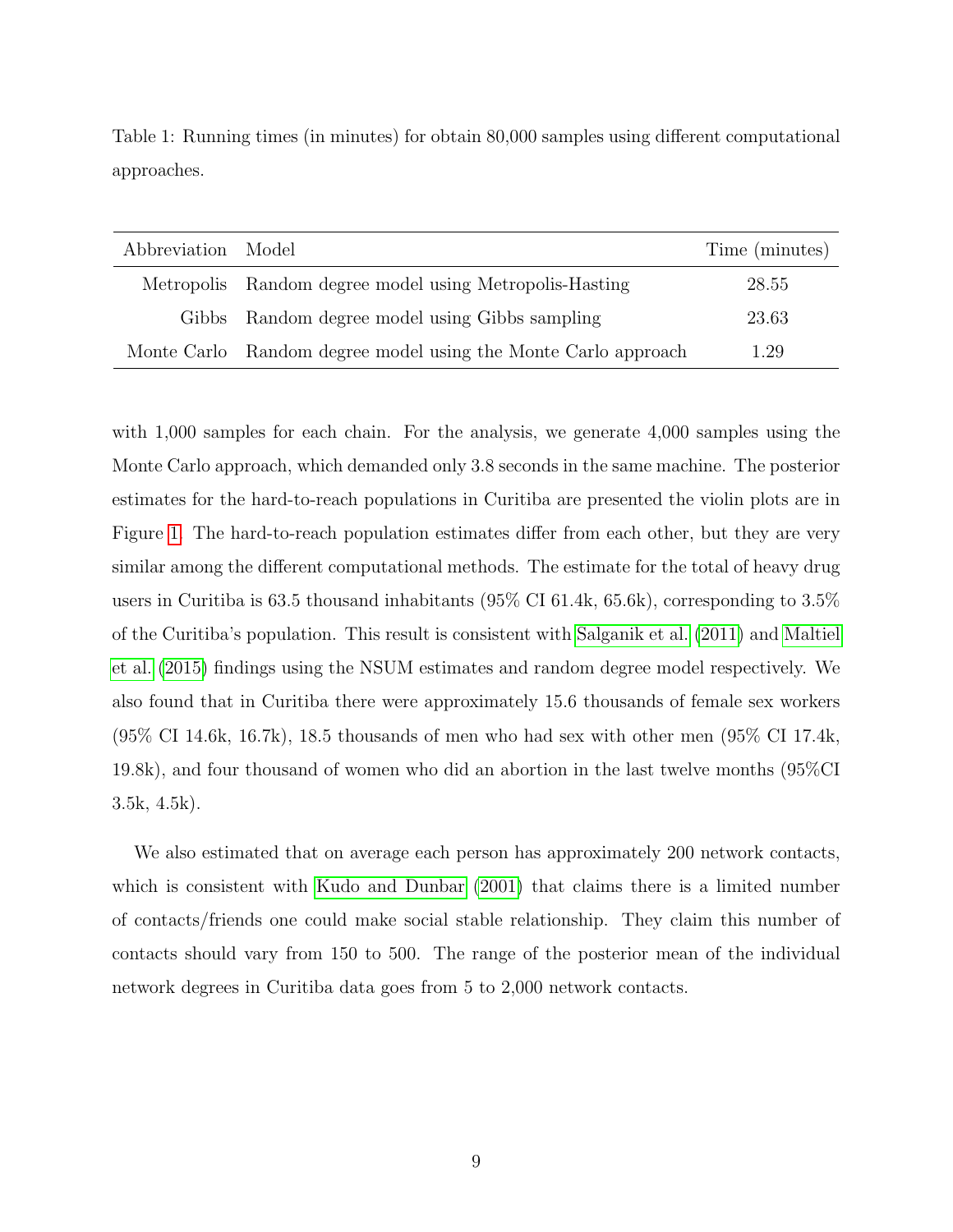| Abbreviation Model |                                                                | Time (minutes) |
|--------------------|----------------------------------------------------------------|----------------|
|                    | Metropolis Random degree model using Metropolis-Hasting        | 28.55          |
|                    | Gibbs Random degree model using Gibbs sampling                 | 23.63          |
|                    | Monte Carlo Random degree model using the Monte Carlo approach | 1.29           |

<span id="page-8-0"></span>Table 1: Running times (in minutes) for obtain 80,000 samples using different computational approaches.

with 1,000 samples for each chain. For the analysis, we generate 4,000 samples using the Monte Carlo approach, which demanded only 3.8 seconds in the same machine. The posterior estimates for the hard-to-reach populations in Curitiba are presented the violin plots are in Figure [1.](#page-9-0) The hard-to-reach population estimates differ from each other, but they are very similar among the different computational methods. The estimate for the total of heavy drug users in Curitiba is 63.5 thousand inhabitants (95% CI 61.4k, 65.6k), corresponding to 3.5% of the Curitiba's population. This result is consistent with [Salganik et al.](#page-12-0) [\(2011\)](#page-12-0) and [Maltiel](#page-11-1) [et al.](#page-11-1) [\(2015\)](#page-11-1) findings using the NSUM estimates and random degree model respectively. We also found that in Curitiba there were approximately 15.6 thousands of female sex workers  $(95\% \text{ CI } 14.6\text{k}, 16.7\text{k})$ , 18.5 thousands of men who had sex with other men  $(95\% \text{ CI } 17.4\text{k})$ , 19.8k), and four thousand of women who did an abortion in the last twelve months (95%CI 3.5k, 4.5k).

We also estimated that on average each person has approximately 200 network contacts, which is consistent with [Kudo and Dunbar](#page-11-6)  $(2001)$  that claims there is a limited number of contacts/friends one could make social stable relationship. They claim this number of contacts should vary from 150 to 500. The range of the posterior mean of the individual network degrees in Curitiba data goes from 5 to 2,000 network contacts.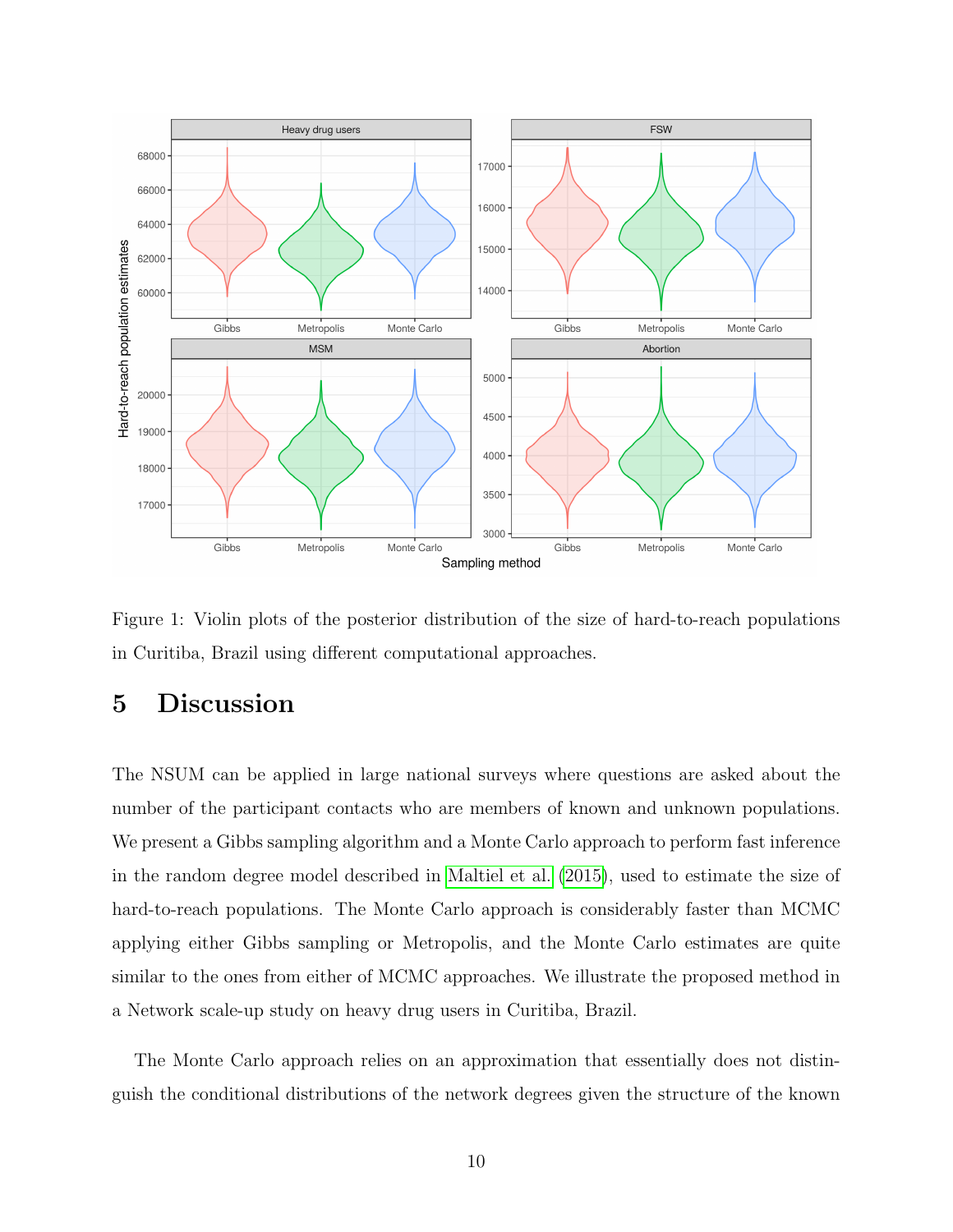

<span id="page-9-0"></span>Figure 1: Violin plots of the posterior distribution of the size of hard-to-reach populations in Curitiba, Brazil using different computational approaches.

# 5 Discussion

The NSUM can be applied in large national surveys where questions are asked about the number of the participant contacts who are members of known and unknown populations. We present a Gibbs sampling algorithm and a Monte Carlo approach to perform fast inference in the random degree model described in [Maltiel et al.](#page-11-1) [\(2015\)](#page-11-1), used to estimate the size of hard-to-reach populations. The Monte Carlo approach is considerably faster than MCMC applying either Gibbs sampling or Metropolis, and the Monte Carlo estimates are quite similar to the ones from either of MCMC approaches. We illustrate the proposed method in a Network scale-up study on heavy drug users in Curitiba, Brazil.

The Monte Carlo approach relies on an approximation that essentially does not distinguish the conditional distributions of the network degrees given the structure of the known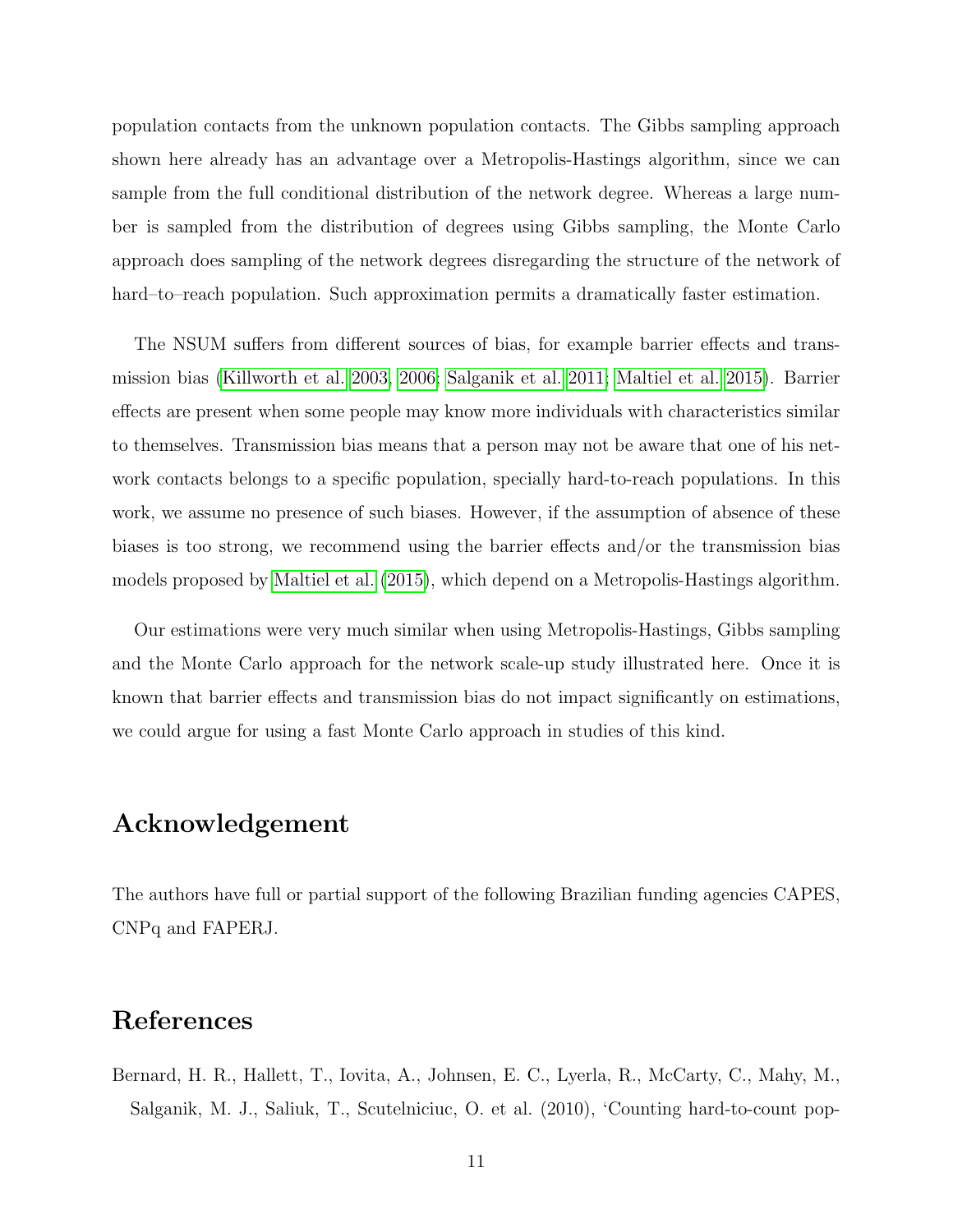population contacts from the unknown population contacts. The Gibbs sampling approach shown here already has an advantage over a Metropolis-Hastings algorithm, since we can sample from the full conditional distribution of the network degree. Whereas a large number is sampled from the distribution of degrees using Gibbs sampling, the Monte Carlo approach does sampling of the network degrees disregarding the structure of the network of hard–to–reach population. Such approximation permits a dramatically faster estimation.

The NSUM suffers from different sources of bias, for example barrier effects and transmission bias [\(Killworth et al. 2003,](#page-11-7) [2006;](#page-11-8) [Salganik et al. 2011;](#page-12-0) [Maltiel et al. 2015\)](#page-11-1). Barrier effects are present when some people may know more individuals with characteristics similar to themselves. Transmission bias means that a person may not be aware that one of his network contacts belongs to a specific population, specially hard-to-reach populations. In this work, we assume no presence of such biases. However, if the assumption of absence of these biases is too strong, we recommend using the barrier effects and/or the transmission bias models proposed by [Maltiel et al.](#page-11-1) [\(2015\)](#page-11-1), which depend on a Metropolis-Hastings algorithm.

Our estimations were very much similar when using Metropolis-Hastings, Gibbs sampling and the Monte Carlo approach for the network scale-up study illustrated here. Once it is known that barrier effects and transmission bias do not impact significantly on estimations, we could argue for using a fast Monte Carlo approach in studies of this kind.

## Acknowledgement

The authors have full or partial support of the following Brazilian funding agencies CAPES, CNPq and FAPERJ.

# References

<span id="page-10-0"></span>Bernard, H. R., Hallett, T., Iovita, A., Johnsen, E. C., Lyerla, R., McCarty, C., Mahy, M., Salganik, M. J., Saliuk, T., Scutelniciuc, O. et al. (2010), 'Counting hard-to-count pop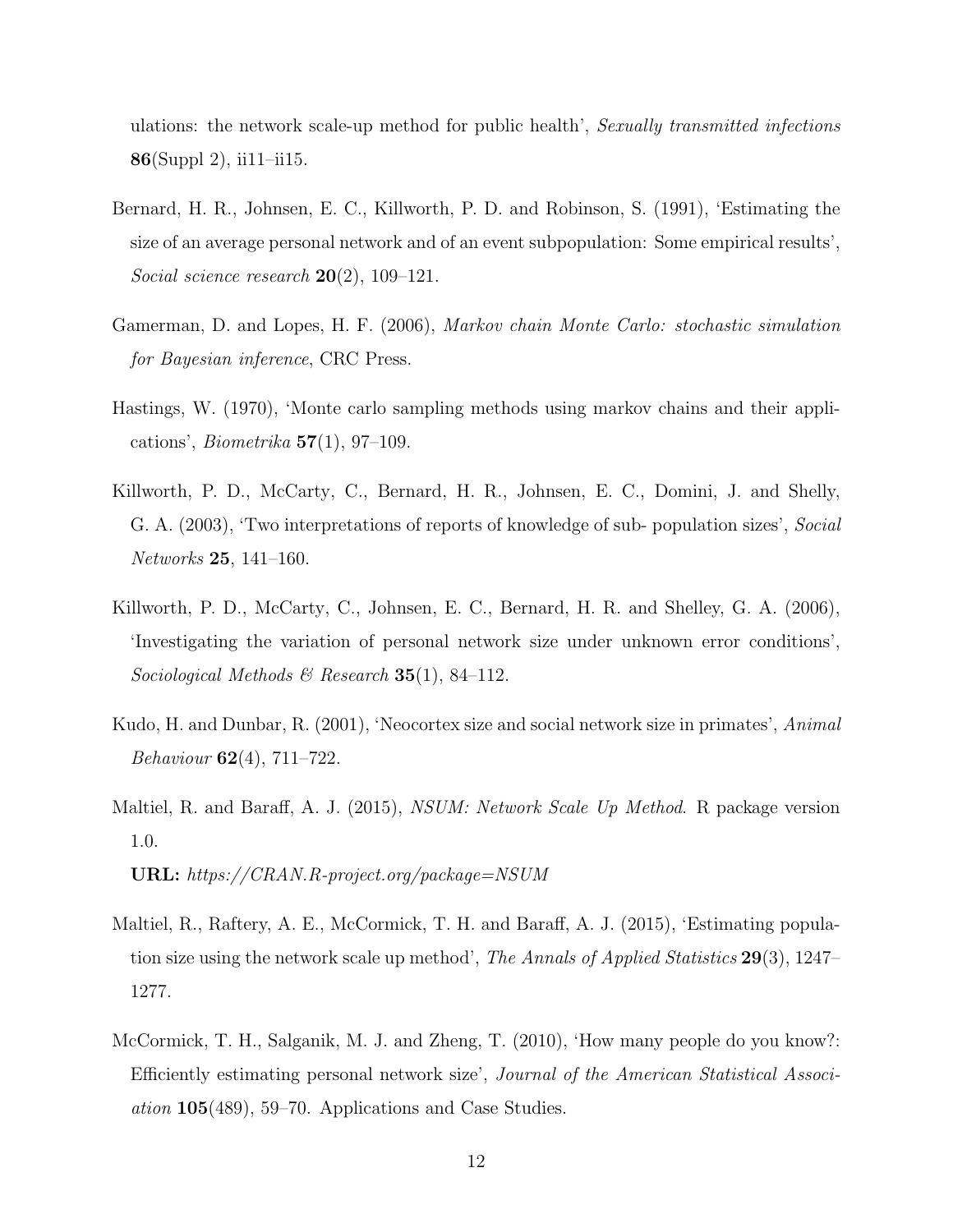ulations: the network scale-up method for public health', Sexually transmitted infections 86(Suppl 2), ii11–ii15.

- <span id="page-11-0"></span>Bernard, H. R., Johnsen, E. C., Killworth, P. D. and Robinson, S. (1991), 'Estimating the size of an average personal network and of an event subpopulation: Some empirical results', Social science research  $20(2)$ , 109-121.
- <span id="page-11-3"></span>Gamerman, D. and Lopes, H. F. (2006), Markov chain Monte Carlo: stochastic simulation for Bayesian inference, CRC Press.
- <span id="page-11-4"></span>Hastings, W. (1970), 'Monte carlo sampling methods using markov chains and their applications', *Biometrika*  $57(1)$ , 97-109.
- <span id="page-11-7"></span>Killworth, P. D., McCarty, C., Bernard, H. R., Johnsen, E. C., Domini, J. and Shelly, G. A. (2003), 'Two interpretations of reports of knowledge of sub- population sizes', Social Networks 25, 141–160.
- <span id="page-11-8"></span>Killworth, P. D., McCarty, C., Johnsen, E. C., Bernard, H. R. and Shelley, G. A. (2006), 'Investigating the variation of personal network size under unknown error conditions', Sociological Methods & Research 35(1), 84-112.
- <span id="page-11-6"></span>Kudo, H. and Dunbar, R. (2001), 'Neocortex size and social network size in primates', Animal Behaviour 62(4), 711–722.
- <span id="page-11-5"></span>Maltiel, R. and Baraff, A. J. (2015), NSUM: Network Scale Up Method. R package version 1.0.

URL: https://CRAN.R-project.org/package=NSUM

- <span id="page-11-1"></span>Maltiel, R., Raftery, A. E., McCormick, T. H. and Baraff, A. J. (2015), 'Estimating population size using the network scale up method', *The Annals of Applied Statistics* 29(3), 1247– 1277.
- <span id="page-11-2"></span>McCormick, T. H., Salganik, M. J. and Zheng, T. (2010), 'How many people do you know?: Efficiently estimating personal network size', Journal of the American Statistical Association 105(489), 59–70. Applications and Case Studies.